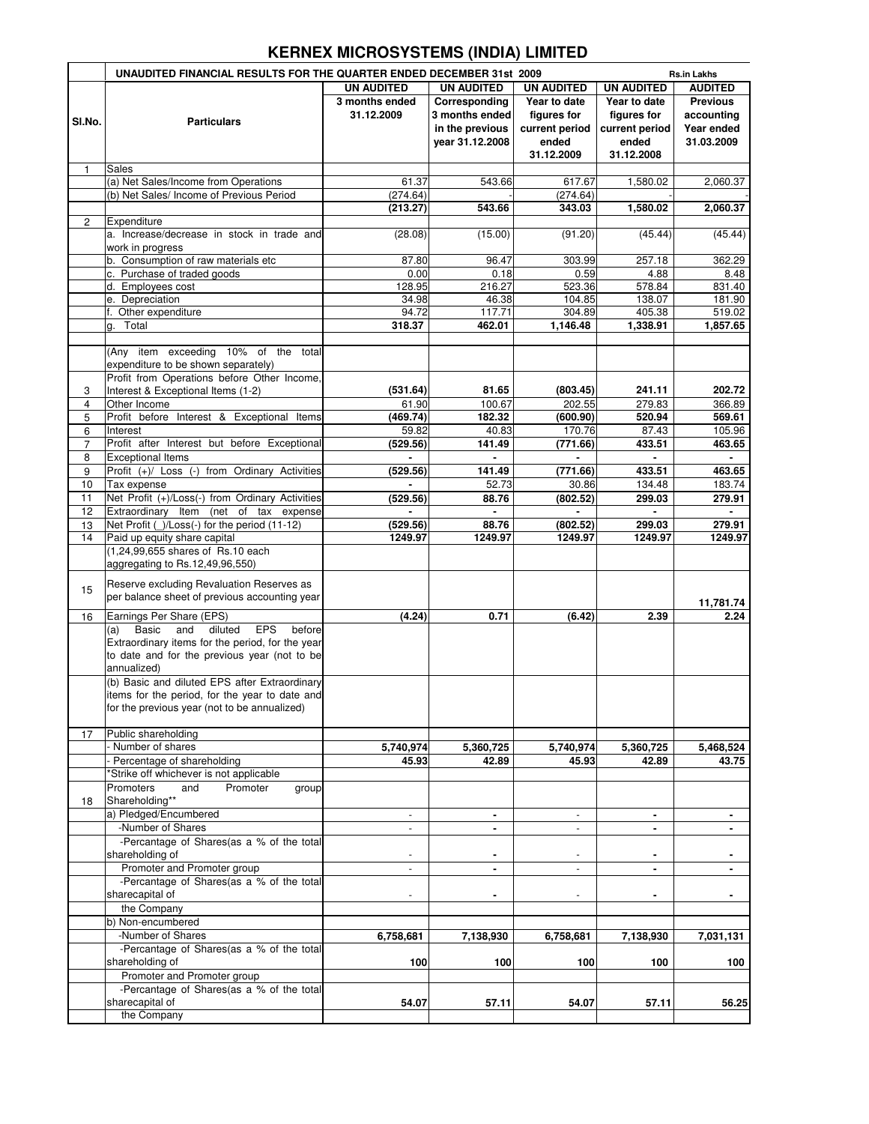## **KERNEX MICROSYSTEMS (INDIA) LIMITED**

|                 | UNAUDITED FINANCIAL RESULTS FOR THE QUARTER ENDED DECEMBER 31st 2009                           |                          |                   |                          | <b>Rs.in Lakhs</b> |                 |
|-----------------|------------------------------------------------------------------------------------------------|--------------------------|-------------------|--------------------------|--------------------|-----------------|
|                 |                                                                                                | <b>UN AUDITED</b>        | <b>UN AUDITED</b> | <b>UN AUDITED</b>        | <b>UN AUDITED</b>  | <b>AUDITED</b>  |
|                 |                                                                                                | 3 months ended           | Corresponding     | Year to date             | Year to date       | <b>Previous</b> |
| SI.No.          | <b>Particulars</b>                                                                             | 31.12.2009               | 3 months ended    | figures for              | figures for        | accounting      |
|                 |                                                                                                |                          | in the previous   | current period           | current period     | Year ended      |
|                 |                                                                                                |                          | year 31.12.2008   | ended                    | ended              | 31.03.2009      |
|                 |                                                                                                |                          |                   | 31.12.2009               | 31.12.2008         |                 |
| 1               | Sales                                                                                          |                          |                   |                          |                    |                 |
|                 | (a) Net Sales/Income from Operations<br>(b) Net Sales/ Income of Previous Period               | 61.37<br>(274.64)        | 543.66            | 617.67<br>(274.64)       | 1,580.02           | 2,060.37        |
|                 |                                                                                                | (213.27)                 | 543.66            | 343.03                   | 1,580.02           | 2,060.37        |
| $\overline{c}$  | Expenditure                                                                                    |                          |                   |                          |                    |                 |
|                 | a. Increase/decrease in stock in trade and                                                     | (28.08)                  | (15.00)           | (91.20)                  | (45.44)            | (45.44)         |
|                 | work in progress                                                                               |                          |                   |                          |                    |                 |
|                 | b. Consumption of raw materials etc                                                            | 87.80                    | 96.47             | 303.99                   | 257.18             | 362.29          |
|                 | c. Purchase of traded goods                                                                    | 0.00                     | 0.18              | 0.59                     | 4.88               | 8.48            |
|                 | d. Employees cost                                                                              | 128.95                   | 216.27            | 523.36                   | 578.84             | 831.40          |
|                 | e. Depreciation                                                                                | 34.98                    | 46.38             | 104.85                   | 138.07             | 181.90          |
|                 | f.<br>Other expenditure                                                                        | 94.72                    | 117.71            | 304.89                   | 405.38             | 519.02          |
|                 | g.<br>Total                                                                                    | 318.37                   | 462.01            | 1,146.48                 | 1,338.91           | 1,857.65        |
|                 | (Any item exceeding 10% of the total                                                           |                          |                   |                          |                    |                 |
|                 | expenditure to be shown separately)                                                            |                          |                   |                          |                    |                 |
|                 | Profit from Operations before Other Income,                                                    |                          |                   |                          |                    |                 |
| 3               | Interest & Exceptional Items (1-2)                                                             | (531.64)                 | 81.65             | (803.45)                 | 241.11             | 202.72          |
| 4               | Other Income                                                                                   | 61.90                    | 100.67            | 202.55                   | 279.83             | 366.89          |
| 5               | Profit before Interest & Exceptional Items                                                     | (469.74)                 | 182.32            | (600.90)                 | 520.94             | 569.61          |
| 6               | Interest                                                                                       | 59.82                    | 40.83             | 170.76                   | 87.43              | 105.96          |
| $\overline{7}$  | Profit after Interest but before Exceptional                                                   | (529.56)                 | 141.49            | (771.66)                 | 433.51             | 463.65          |
| 8               | <b>Exceptional Items</b>                                                                       |                          | $\blacksquare$    |                          | ä,                 | $\blacksquare$  |
| 9               | Profit (+)/ Loss (-) from Ordinary Activities                                                  | (529.56)                 | 141.49            | (771.66)                 | 433.51             | 463.65          |
| 10              | Tax expense                                                                                    |                          | 52.73             | 30.86                    | 134.48             | 183.74          |
| 11              | Net Profit (+)/Loss(-) from Ordinary Activities                                                | (529.56)                 | 88.76             | (802.52)                 | 299.03             | 279.91          |
| $\overline{12}$ | Extraordinary Item<br>(net of tax<br>expense                                                   | ä,                       | $\blacksquare$    | ÷.                       | ÷.                 | $\blacksquare$  |
| 13              | Net Profit (_)/Loss(-) for the period (11-12)                                                  | (529.56)                 | 88.76             | (802.52)                 | 299.03             | 279.91          |
| 14              | Paid up equity share capital                                                                   | 1249.97                  | 1249.97           | 1249.97                  | 1249.97            | 1249.97         |
|                 | (1,24,99,655 shares of Rs.10 each<br>aggregating to Rs.12,49,96,550)                           |                          |                   |                          |                    |                 |
|                 |                                                                                                |                          |                   |                          |                    |                 |
| 15              | Reserve excluding Revaluation Reserves as                                                      |                          |                   |                          |                    |                 |
|                 | per balance sheet of previous accounting year                                                  |                          |                   |                          |                    | 11,781.74       |
| 16              | Earnings Per Share (EPS)                                                                       | (4.24)                   | 0.71              | (6.42)                   | 2.39               | 2.24            |
|                 | diluted<br><b>EPS</b><br>Basic<br>and<br>before<br>(a)                                         |                          |                   |                          |                    |                 |
|                 | Extraordinary items for the period, for the year                                               |                          |                   |                          |                    |                 |
|                 | to date and for the previous year (not to be                                                   |                          |                   |                          |                    |                 |
|                 | annualized)                                                                                    |                          |                   |                          |                    |                 |
|                 | (b) Basic and diluted EPS after Extraordinary                                                  |                          |                   |                          |                    |                 |
|                 | items for the period, for the year to date and<br>for the previous year (not to be annualized) |                          |                   |                          |                    |                 |
|                 |                                                                                                |                          |                   |                          |                    |                 |
| 17              | Public shareholding                                                                            |                          |                   |                          |                    |                 |
|                 | - Number of shares                                                                             | 5,740,974                | 5,360,725         | 5,740,974                | 5,360,725          | 5,468,524       |
|                 | - Percentage of shareholding                                                                   | 45.93                    | 42.89             | 45.93                    | 42.89              | 43.75           |
|                 | *Strike off whichever is not applicable                                                        |                          |                   |                          |                    |                 |
|                 | Promoter<br>Promoters<br>and<br>group                                                          |                          |                   |                          |                    |                 |
| 18              | Shareholding**                                                                                 |                          |                   |                          |                    |                 |
|                 | a) Pledged/Encumbered                                                                          | $\overline{\phantom{a}}$ | ٠                 | $\overline{\phantom{a}}$ | $\blacksquare$     |                 |
|                 | -Number of Shares                                                                              |                          |                   |                          |                    |                 |
|                 | -Percantage of Shares(as a % of the total                                                      |                          |                   |                          |                    |                 |
|                 | shareholding of                                                                                |                          |                   |                          |                    |                 |
|                 | Promoter and Promoter group                                                                    | $\overline{\phantom{a}}$ | ٠                 | $\sim$                   | $\blacksquare$     | ٠               |
|                 | -Percantage of Shares(as a % of the total                                                      |                          |                   |                          |                    |                 |
|                 | sharecapital of                                                                                |                          |                   |                          | ä,                 |                 |
|                 | the Company                                                                                    |                          |                   |                          |                    |                 |
|                 | b) Non-encumbered<br>-Number of Shares                                                         |                          |                   |                          |                    |                 |
|                 | -Percantage of Shares(as a % of the total                                                      | 6,758,681                | 7,138,930         | 6,758,681                | 7,138,930          | 7,031,131       |
|                 | shareholding of                                                                                | 100                      | 100               | 100                      | 100                | 100             |
|                 | Promoter and Promoter group                                                                    |                          |                   |                          |                    |                 |
|                 | -Percantage of Shares(as a % of the total                                                      |                          |                   |                          |                    |                 |
|                 | sharecapital of                                                                                | 54.07                    | 57.11             | 54.07                    | 57.11              | 56.25           |
|                 | the Company                                                                                    |                          |                   |                          |                    |                 |